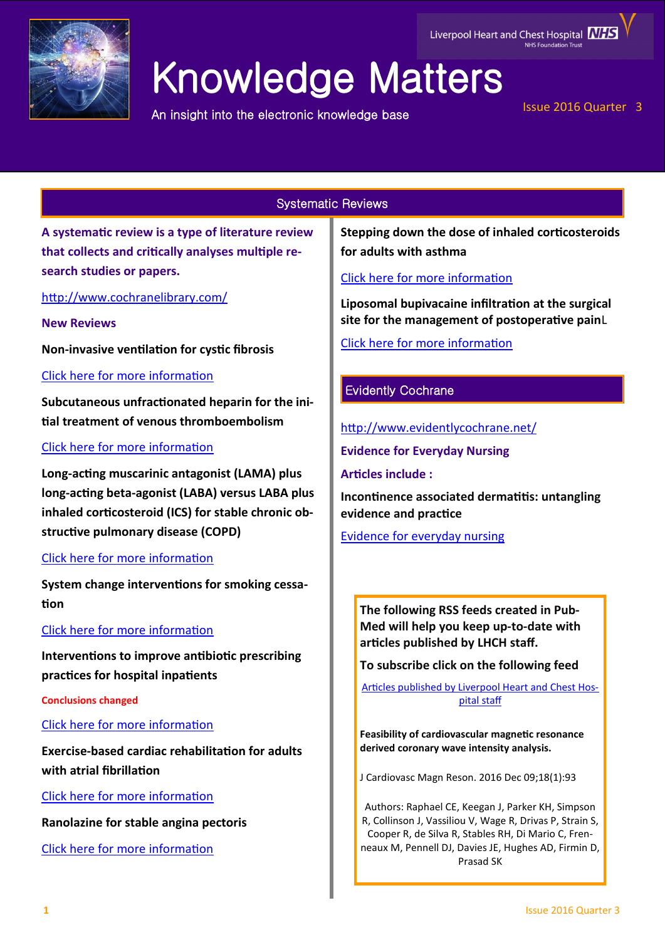

# Knowledge Matters

An insight into the electronic knowledge base

## Issue 2016 Quarter 3

# Systematic Reviews

**A systematic review is a type of literature review that collects and critically analyses multiple research studies or papers.** 

<http://www.cochranelibrary.com/>

**New Reviews**

**Non-invasive ventilation for cystic fibrosis**

[Click here for more information](http://onlinelibrary.wiley.com/doi/10.1002/14651858.CD002769.pub5/full)

**Subcutaneous unfractionated heparin for the initial treatment of venous thromboembolism**

# [Click here for more information](http://onlinelibrary.wiley.com/doi/10.1002/14651858.CD006771.pub3/full)

**Long-acting muscarinic antagonist (LAMA) plus long-acting beta-agonist (LABA) versus LABA plus inhaled corticosteroid (ICS) for stable chronic obstructive pulmonary disease (COPD)**

## [Click here for more information](http://onlinelibrary.wiley.com/doi/10.1002/14651858.CD012066.pub2/full)

**System change interventions for smoking cessation**

## [Click here for more information](http://onlinelibrary.wiley.com/doi/10.1002/14651858.CD010742.pub2/full)

**Interventions to improve antibiotic prescribing practices for hospital inpatients**

**Conclusions changed**

[Click here for more information](http://onlinelibrary.wiley.com/doi/10.1002/14651858.CD003543.pub4/full)

**Exercise-based cardiac rehabilitation for adults with atrial fibrillation**

[Click here for more information](http://onlinelibrary.wiley.com/doi/10.1002/14651858.CD011197.pub2/full)

**Ranolazine for stable angina pectoris**

[Click here for more information](http://onlinelibrary.wiley.com/doi/10.1002/14651858.CD011747.pub2/full)

**Stepping down the dose of inhaled corticosteroids for adults with asthma**

[Click here for more information](http://onlinelibrary.wiley.com/doi/10.1002/14651858.CD011802.pub2/full)

**Liposomal bupivacaine infiltration at the surgical site for the management of postoperative pain**L

[Click here for more information](http://onlinelibrary.wiley.com/doi/10.1002/14651858.CD011419.pub2/full)

# Evidently Cochrane

<http://www.evidentlycochrane.net/>

**Evidence for Everyday Nursing** 

**Articles include :**

**Incontinence associated dermatitis: untangling evidence and practice** 

[Evidence for everyday nursing](http://www.evidentlycochrane.net/category/evidence-for-everyday-nursing/)

**The following RSS feeds created in Pub-Med will help you keep up-to-date with articles published by LHCH staff.**

**To subscribe click on the following feed** 

[Articles published by Liverpool Heart and Chest Hos](http://eutils.ncbi.nlm.nih.gov/entrez/eutils/erss.cgi?rss_guid=1jmC0p0kwOiCcrGq4UdlH-eTmaOgJ316E2QW_6DKsMnynMiQ2d)[pital staff](http://eutils.ncbi.nlm.nih.gov/entrez/eutils/erss.cgi?rss_guid=1jmC0p0kwOiCcrGq4UdlH-eTmaOgJ316E2QW_6DKsMnynMiQ2d) 

**Feasibility of cardiovascular magnetic resonance derived coronary wave intensity analysis.**

J Cardiovasc Magn Reson. 2016 Dec 09;18(1):93

Authors: Raphael CE, Keegan J, Parker KH, Simpson R, Collinson J, Vassiliou V, Wage R, Drivas P, Strain S, Cooper R, de Silva R, Stables RH, Di Mario C, Frenneaux M, Pennell DJ, Davies JE, Hughes AD, Firmin D, Prasad SK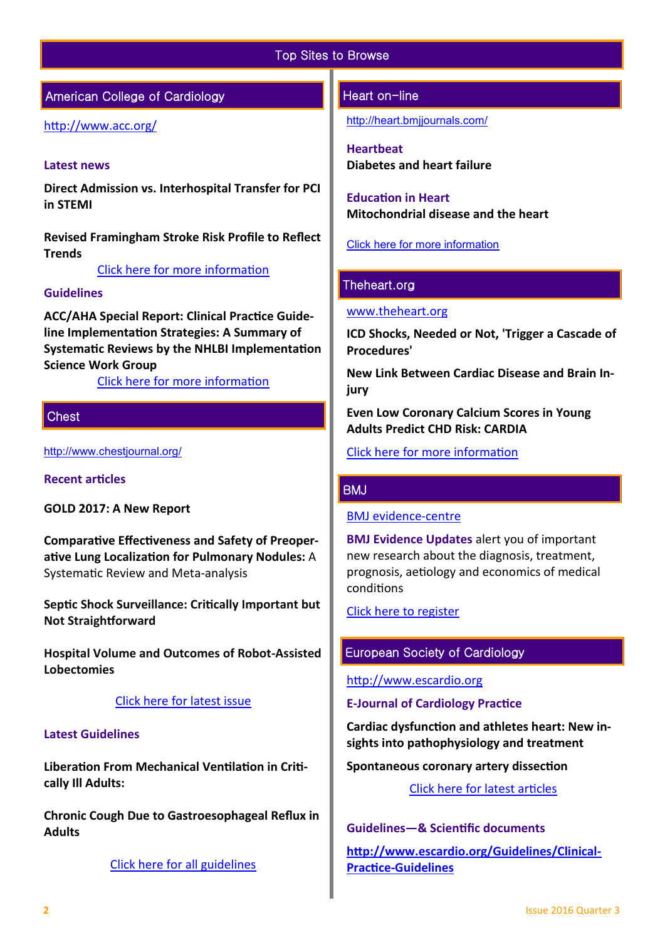## Top Sites to Browse

# American College of Cardiology

## <http://www.acc.org/>

#### **Latest news**

**Direct Admission vs. Interhospital Transfer for PCI in STEMI** 

**Revised Framingham Stroke Risk Profile to Reflect Trends** 

[Click here for more information](http://www.acc.org/#sort=%40fcommonsortdate86069%20descending) 

## **Guidelines**

**ACC/AHA Special Report: Clinical Practice Guideline Implementation Strategies: A Summary of Systematic Reviews by the NHLBI Implementation Science Work Group**

[Click here for more information](http://www.acc.org/guidelines#sort=%40foriginalz32xpostedz32xdate86069%20descending&f:@fdocumentz32xtype86069_670363a472df42e3adff1c75ae78b00f=[Guidelines]http://www.acc.org/guidelines) 

## **Chest**

<http://www.chestjournal.org/>

**Recent articles** 

**GOLD 2017: A New Report**

**Comparative Effectiveness and Safety of Preoperative Lung Localization for Pulmonary Nodules:** A Systematic Review and Meta-analysis

**Septic Shock Surveillance: Critically Important but Not Straightforward**

**Hospital Volume and Outcomes of Robot-Assisted Lobectomies**

#### [Click here for latest issue](http://journal.publications.chestnet.org/issue.aspx)

#### **Latest Guidelines**

**Liberation From Mechanical Ventilation in Critically Ill Adults:**

**Chronic Cough Due to Gastroesophageal Reflux in Adults**

[Click here for all guidelines](http://journal.publications.chestnet.org/ss/guidelines.aspx)

## Heart on-line

<http://heart.bmjjournals.com/>

**Heartbeat Diabetes and heart failure**

**Education in Heart Mitochondrial disease and the heart**

[Click here for more information](http://heart.bmj.com/content/current)

## Theheart.org

#### [www.theheart.org](http://www.theheart.org/)

**ICD Shocks, Needed or Not, 'Trigger a Cascade of Procedures'**

**New Link Between Cardiac Disease and Brain Injury**

**Even Low Coronary Calcium Scores in Young Adults Predict CHD Risk: CARDIA**

[Click here for more information](http://www.medscape.com/cardiology?t=1)

#### BMJ

[BMJ evidence](http://plus.mcmaster.ca/EvidenceUpdates/Default.aspx)-centre

**BMJ Evidence Updates** alert you of important new research about the diagnosis, treatment, prognosis, aetiology and economics of medical conditions

[Click here to register](http://plus.mcmaster.ca/EvidenceUpdates/Registration.aspx)

## European Society of Cardiology

[http://www.escardio.org](http://www.escardio.org/Pages/index.aspx)

#### **E-Journal of Cardiology Practice**

**Cardiac dysfunction and athletes heart: New insights into pathophysiology and treatment** 

**Spontaneous coronary artery dissection**

[Click here for latest articles](http://www.escardio.org/Journals/E-Journal-of-Cardiology-Practice)

**Guidelines—& Scientific documents [http://www.escardio.org/Guidelines/Clinical](http://www.escardio.org/Guidelines/Clinical-Practice-Guidelines)-Practice-[Guidelines](http://www.escardio.org/Guidelines/Clinical-Practice-Guidelines)**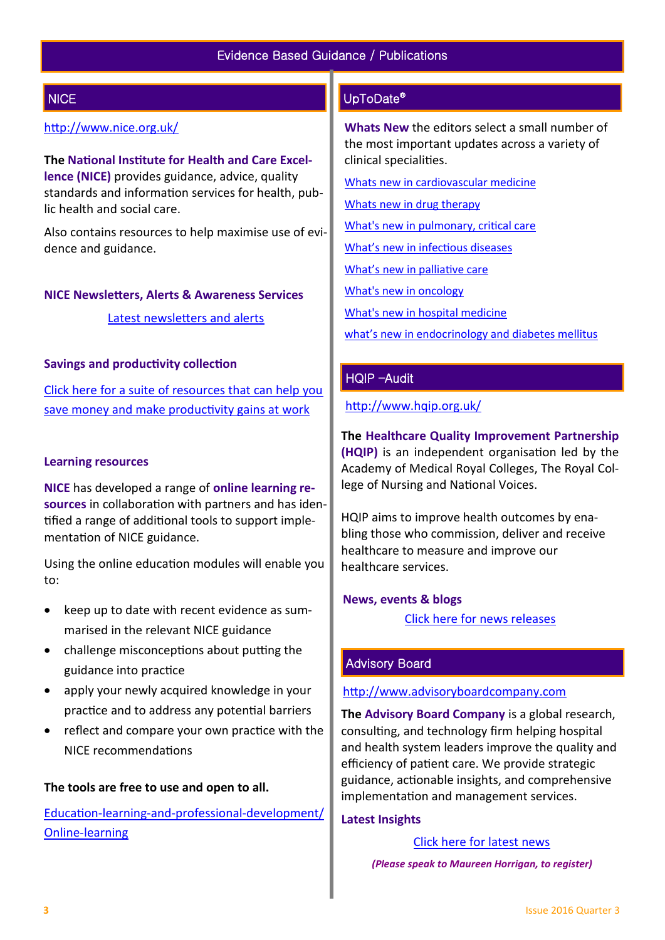# **NICE**

## <http://www.nice.org.uk/>

**The National Institute for Health and Care Excellence (NICE)** provides guidance, advice, quality standards and information services for health, public health and social care.

Also contains resources to help maximise use of evidence and guidance.

#### **NICE Newsletters, Alerts & Awareness Services**

[Latest newsletters and alerts](http://www.nice.org.uk/news/nice-newsletters-and-alerts)

#### **Savings and productivity collection**

[Click here for a suite of resources that can help you](https://www.nice.org.uk/about/What-we-do/Our-Programmes/Savings-And-Productivity-Collection)  [save money and make productivity gains at work](https://www.nice.org.uk/about/What-we-do/Our-Programmes/Savings-And-Productivity-Collection)

#### **Learning resources**

**NICE** has developed a range of **online learning resources** in collaboration with partners and has identified a range of additional tools to support implementation of NICE guidance.

Using the online education modules will enable you to:

- keep up to date with recent evidence as summarised in the relevant NICE guidance
- challenge misconceptions about putting the guidance into practice
- apply your newly acquired knowledge in your practice and to address any potential barriers
- reflect and compare your own practice with the NICE recommendations

#### **The tools are free to use and open to all.**

Education-learning-and-professional-[development/](https://www.nice.org.uk/About/What-we-do/Into-practice/Education-learning-and-professional-development/Online-learning) Online-[learning](https://www.nice.org.uk/About/What-we-do/Into-practice/Education-learning-and-professional-development/Online-learning)

# UpToDate®

**Whats New** the editors select a small number of the most important updates across a variety of clinical specialities.

[Whats new in cardiovascular medicine](http://www.uptodate.com/contents/whats-new-in-cardiovascular-medicine)

[Whats new in drug therapy](http://www.uptodate.com/contents/whats-new-in-drug-therapy)

[What's new in pulmonary, critical care](http://www.uptodate.com/contents/whats-new-in-pulmonary-critical-care-and-sleep-medicine)

[What's new in infectious diseases](http://www.uptodate.com/contents/whats-new-in-infectious-diseases)

[What's new in palliative care](http://www.uptodate.com/contents/whats-new-in-palliative-care)

[What's new in oncology](http://www.uptodate.com/contents/whats-new-in-oncology)

[What's new in hospital medicine](http://www.uptodate.com/contents/whats-new-in-hospital-medicine)

[what's new in endocrinology and diabetes mellitus](http://www.uptodate.com/contents/whats-new-in-endocrinology-and-diabetes-mellitus)

## HQIP –Audit

<http://www.hqip.org.uk/>

**The Healthcare Quality Improvement Partnership (HQIP)** is an independent organisation led by the Academy of Medical Royal Colleges, The Royal College of Nursing and National Voices.

HQIP aims to improve health outcomes by enabling those who commission, deliver and receive healthcare to measure and improve our healthcare services.

#### **News, events & blogs**

[Click here for news releases](http://www.hqip.org.uk/news-releases/)

## Advisory Board

#### [http://www.advisoryboardcompany.com](http://www.advisoryboardcompany.com/)

**The Advisory Board Company** is a global research, consulting, and technology firm helping hospital and health system leaders improve the quality and efficiency of patient care. We provide strategic guidance, actionable insights, and comprehensive implementation and management services.

#### **Latest Insights**

[Click here for latest news](http://www.advisory.com/International)

 *(Please speak to Maureen Horrigan, to register)*